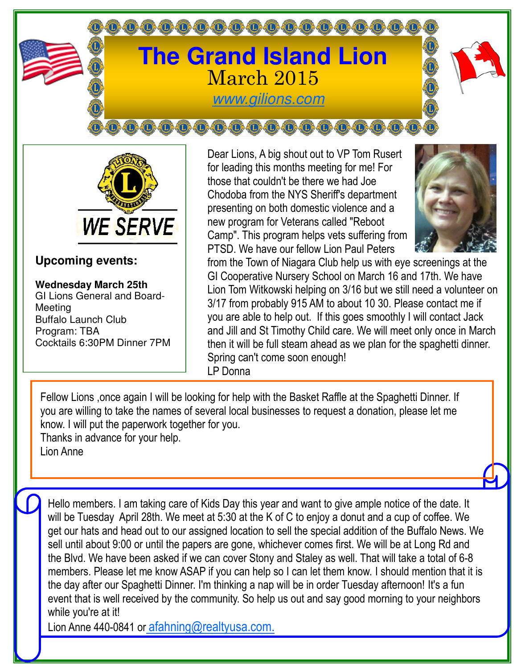



## **Upcoming events:**

**Wednesday March 25th** GI Lions General and Board-Meeting Buffalo Launch Club Program: TBA Cocktails 6:30PM Dinner 7PM Dear Lions, A big shout out to VP Tom Rusert for leading this months meeting for me! For those that couldn't be there we had Joe Chodoba from the NYS Sheriff's department presenting on both domestic violence and a new program for Veterans called "Reboot Camp". This program helps vets suffering from PTSD. We have our fellow Lion Paul Peters



from the Town of Niagara Club help us with eye screenings at the GI Cooperative Nursery School on March 16 and 17th. We have Lion Tom Witkowski helping on 3/16 but we still need a volunteer on 3/17 from probably 915 AM to about 10 30. Please contact me if you are able to help out. If this goes smoothly I will contact Jack and Jill and St Timothy Child care. We will meet only once in March then it will be full steam ahead as we plan for the spaghetti dinner. Spring can't come soon enough! LP Donna

Fellow Lions ,once again I will be looking for help with the Basket Raffle at the Spaghetti Dinner. If you are willing to take the names of several local businesses to request a donation, please let me know. I will put the paperwork together for you. Thanks in advance for your help.

Lion Anne

Hello members. I am taking care of Kids Day this year and want to give ample notice of the date. It will be Tuesday April 28th. We meet at 5:30 at the K of C to enjoy a donut and a cup of coffee. We get our hats and head out to our assigned location to sell the special addition of the Buffalo News. We sell until about 9:00 or until the papers are gone, whichever comes first. We will be at Long Rd and the Blvd. We have been asked if we can cover Stony and Staley as well. That will take a total of 6-8 members. Please let me know ASAP if you can help so I can let them know. I should mention that it is the day after our Spaghetti Dinner. I'm thinking a nap will be in order Tuesday afternoon! It's a fun event that is well received by the community. So help us out and say good morning to your neighbors while you're at it!

Lion Anne 440-0841 or afahning@realtyusa.com.